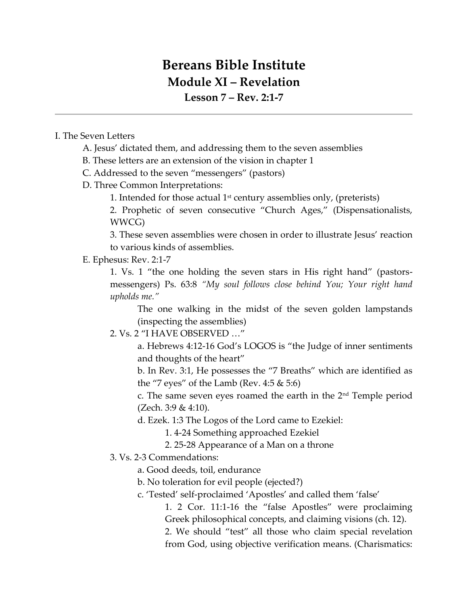## **Bereans Bible Institute Module XI – Revelation**

**Lesson 7 – Rev. 2:1-7**

## I. The Seven Letters

- A. Jesus' dictated them, and addressing them to the seven assemblies
- B. These letters are an extension of the vision in chapter 1

C. Addressed to the seven "messengers" (pastors)

- D. Three Common Interpretations:
	- 1. Intended for those actual  $1<sup>st</sup>$  century assemblies only, (preterists)

2. Prophetic of seven consecutive "Church Ages," (Dispensationalists, WWCG)

3. These seven assemblies were chosen in order to illustrate Jesus' reaction to various kinds of assemblies.

## E. Ephesus: Rev. 2:1-7

1. Vs. 1 "the one holding the seven stars in His right hand" (pastorsmessengers) Ps. 63:8 *"My soul follows close behind You; Your right hand upholds me."*

The one walking in the midst of the seven golden lampstands (inspecting the assemblies)

## 2. Vs. 2 "I HAVE OBSERVED …"

a. Hebrews 4:12-16 God's LOGOS is "the Judge of inner sentiments and thoughts of the heart"

b. In Rev. 3:1, He possesses the "7 Breaths" which are identified as the "7 eyes" of the Lamb (Rev.  $4:5 \& 5:6$ )

c. The same seven eyes roamed the earth in the 2nd Temple period (Zech. 3:9 & 4:10).

d. Ezek. 1:3 The Logos of the Lord came to Ezekiel:

1. 4-24 Something approached Ezekiel

- 2. 25-28 Appearance of a Man on a throne
- 3. Vs. 2-3 Commendations:
	- a. Good deeds, toil, endurance
	- b. No toleration for evil people (ejected?)
	- c. 'Tested' self-proclaimed 'Apostles' and called them 'false'

1. 2 Cor. 11:1-16 the "false Apostles" were proclaiming Greek philosophical concepts, and claiming visions (ch. 12).

2. We should "test" all those who claim special revelation from God, using objective verification means. (Charismatics: